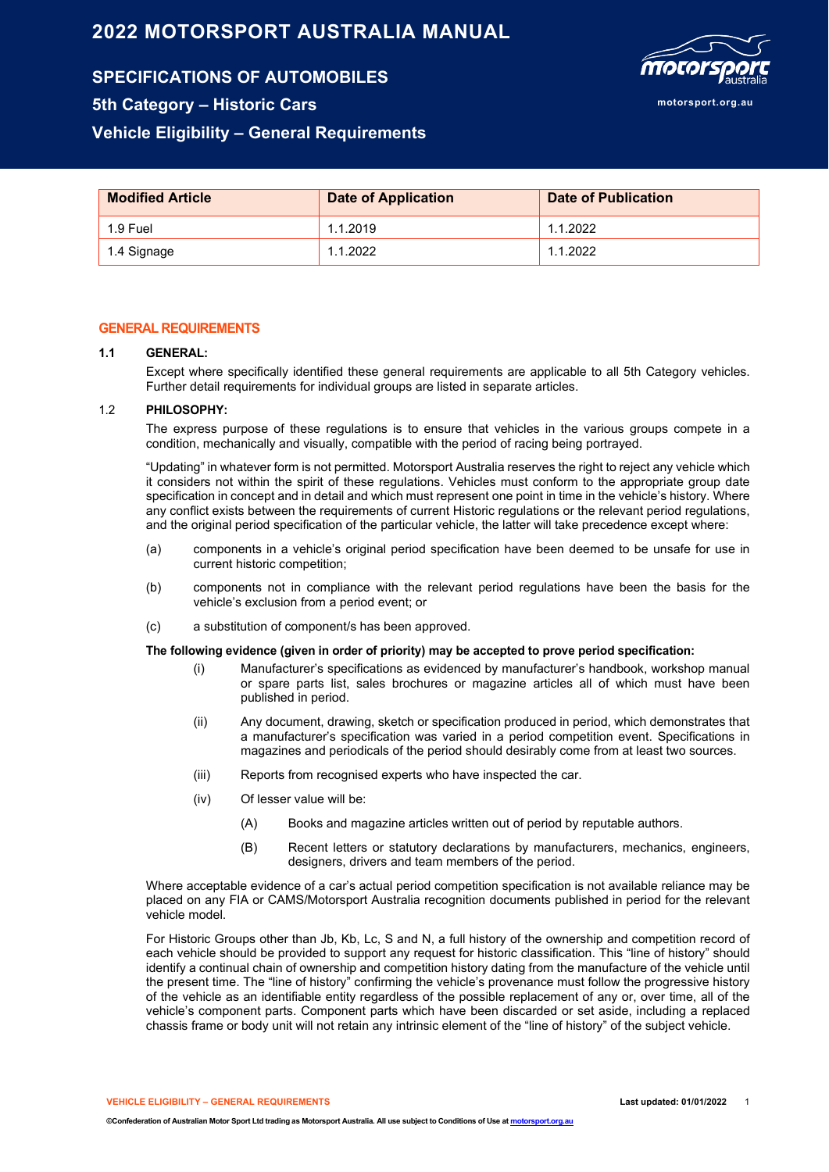# **2022 MOTORSPORT AUSTRALIA MANUAL**

**SPECIFICATIONS OF AUTOMOBILES 5th Category – Historic Cars**

# **Vehicle Eligibility – General Requirements**

| <b>Modified Article</b> | <b>Date of Application</b> | Date of Publication |  |  |
|-------------------------|----------------------------|---------------------|--|--|
| 1.9 Fuel                | 1.1.2019                   | 1.1.2022            |  |  |
| 1.4 Signage             | 1.1.2022                   | 1.1.2022            |  |  |

### **GENERAL REQUIREMENTS**

#### **1.1 GENERAL:**

Except where specifically identified these general requirements are applicable to all 5th Category vehicles. Further detail requirements for individual groups are listed in separate articles.

#### 1.2 **PHILOSOPHY:**

The express purpose of these regulations is to ensure that vehicles in the various groups compete in a condition, mechanically and visually, compatible with the period of racing being portrayed.

"Updating" in whatever form is not permitted. Motorsport Australia reserves the right to reject any vehicle which it considers not within the spirit of these regulations. Vehicles must conform to the appropriate group date specification in concept and in detail and which must represent one point in time in the vehicle's history. Where any conflict exists between the requirements of current Historic regulations or the relevant period regulations, and the original period specification of the particular vehicle, the latter will take precedence except where:

- (a) components in a vehicle's original period specification have been deemed to be unsafe for use in current historic competition;
- (b) components not in compliance with the relevant period regulations have been the basis for the vehicle's exclusion from a period event; or
- (c) a substitution of component/s has been approved.

#### **The following evidence (given in order of priority) may be accepted to prove period specification:**

- (i) Manufacturer's specifications as evidenced by manufacturer's handbook, workshop manual or spare parts list, sales brochures or magazine articles all of which must have been published in period.
- (ii) Any document, drawing, sketch or specification produced in period, which demonstrates that a manufacturer's specification was varied in a period competition event. Specifications in magazines and periodicals of the period should desirably come from at least two sources.
- (iii) Reports from recognised experts who have inspected the car.
- (iv) Of lesser value will be:
	- (A) Books and magazine articles written out of period by reputable authors.
	- (B) Recent letters or statutory declarations by manufacturers, mechanics, engineers, designers, drivers and team members of the period.

Where acceptable evidence of a car's actual period competition specification is not available reliance may be placed on any FIA or CAMS/Motorsport Australia recognition documents published in period for the relevant vehicle model.

For Historic Groups other than Jb, Kb, Lc, S and N, a full history of the ownership and competition record of each vehicle should be provided to support any request for historic classification. This "line of history" should identify a continual chain of ownership and competition history dating from the manufacture of the vehicle until the present time. The "line of history" confirming the vehicle's provenance must follow the progressive history of the vehicle as an identifiable entity regardless of the possible replacement of any or, over time, all of the vehicle's component parts. Component parts which have been discarded or set aside, including a replaced chassis frame or body unit will not retain any intrinsic element of the "line of history" of the subject vehicle.

**VEHICLE ELIGIBILITY – GENERAL REQUIREMENTS Last updated: 01/01/2022** 1

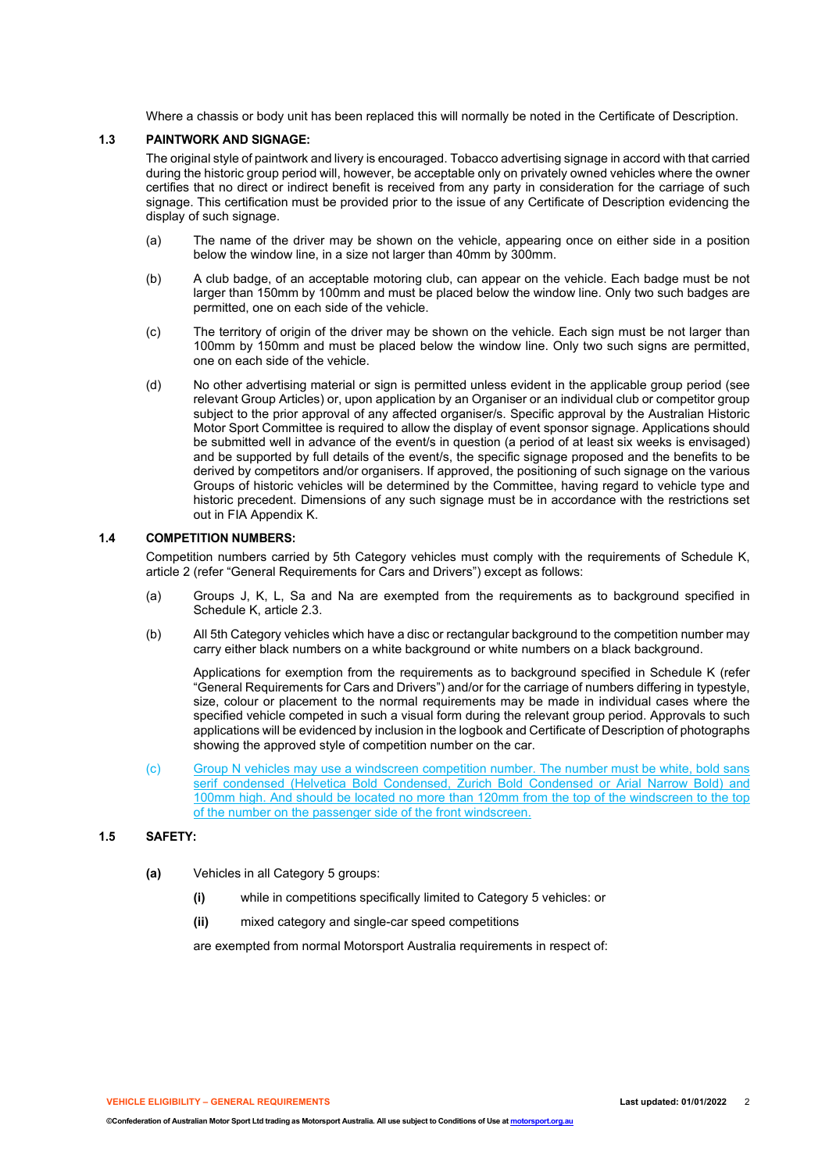Where a chassis or body unit has been replaced this will normally be noted in the Certificate of Description.

#### **1.3 PAINTWORK AND SIGNAGE:**

The original style of paintwork and livery is encouraged. Tobacco advertising signage in accord with that carried during the historic group period will, however, be acceptable only on privately owned vehicles where the owner certifies that no direct or indirect benefit is received from any party in consideration for the carriage of such signage. This certification must be provided prior to the issue of any Certificate of Description evidencing the display of such signage.

- (a) The name of the driver may be shown on the vehicle, appearing once on either side in a position below the window line, in a size not larger than 40mm by 300mm.
- (b) A club badge, of an acceptable motoring club, can appear on the vehicle. Each badge must be not larger than 150mm by 100mm and must be placed below the window line. Only two such badges are permitted, one on each side of the vehicle.
- (c) The territory of origin of the driver may be shown on the vehicle. Each sign must be not larger than 100mm by 150mm and must be placed below the window line. Only two such signs are permitted, one on each side of the vehicle.
- (d) No other advertising material or sign is permitted unless evident in the applicable group period (see relevant Group Articles) or, upon application by an Organiser or an individual club or competitor group subject to the prior approval of any affected organiser/s. Specific approval by the Australian Historic Motor Sport Committee is required to allow the display of event sponsor signage. Applications should be submitted well in advance of the event/s in question (a period of at least six weeks is envisaged) and be supported by full details of the event/s, the specific signage proposed and the benefits to be derived by competitors and/or organisers. If approved, the positioning of such signage on the various Groups of historic vehicles will be determined by the Committee, having regard to vehicle type and historic precedent. Dimensions of any such signage must be in accordance with the restrictions set out in FIA Appendix K.

#### **1.4 COMPETITION NUMBERS:**

Competition numbers carried by 5th Category vehicles must comply with the requirements of Schedule K, article 2 (refer "General Requirements for Cars and Drivers") except as follows:

- (a) Groups J, K, L, Sa and Na are exempted from the requirements as to background specified in Schedule K, article 2.3.
- (b) All 5th Category vehicles which have a disc or rectangular background to the competition number may carry either black numbers on a white background or white numbers on a black background.

Applications for exemption from the requirements as to background specified in Schedule K (refer "General Requirements for Cars and Drivers") and/or for the carriage of numbers differing in typestyle, size, colour or placement to the normal requirements may be made in individual cases where the specified vehicle competed in such a visual form during the relevant group period. Approvals to such applications will be evidenced by inclusion in the logbook and Certificate of Description of photographs showing the approved style of competition number on the car.

(c) Group N vehicles may use a windscreen competition number. The number must be white, bold sans serif condensed (Helvetica Bold Condensed, Zurich Bold Condensed or Arial Narrow Bold) and 100mm high. And should be located no more than 120mm from the top of the windscreen to the top of the number on the passenger side of the front windscreen.

#### **1.5 SAFETY:**

- **(a)** Vehicles in all Category 5 groups:
	- **(i)** while in competitions specifically limited to Category 5 vehicles: or
	- **(ii)** mixed category and single-car speed competitions

are exempted from normal Motorsport Australia requirements in respect of: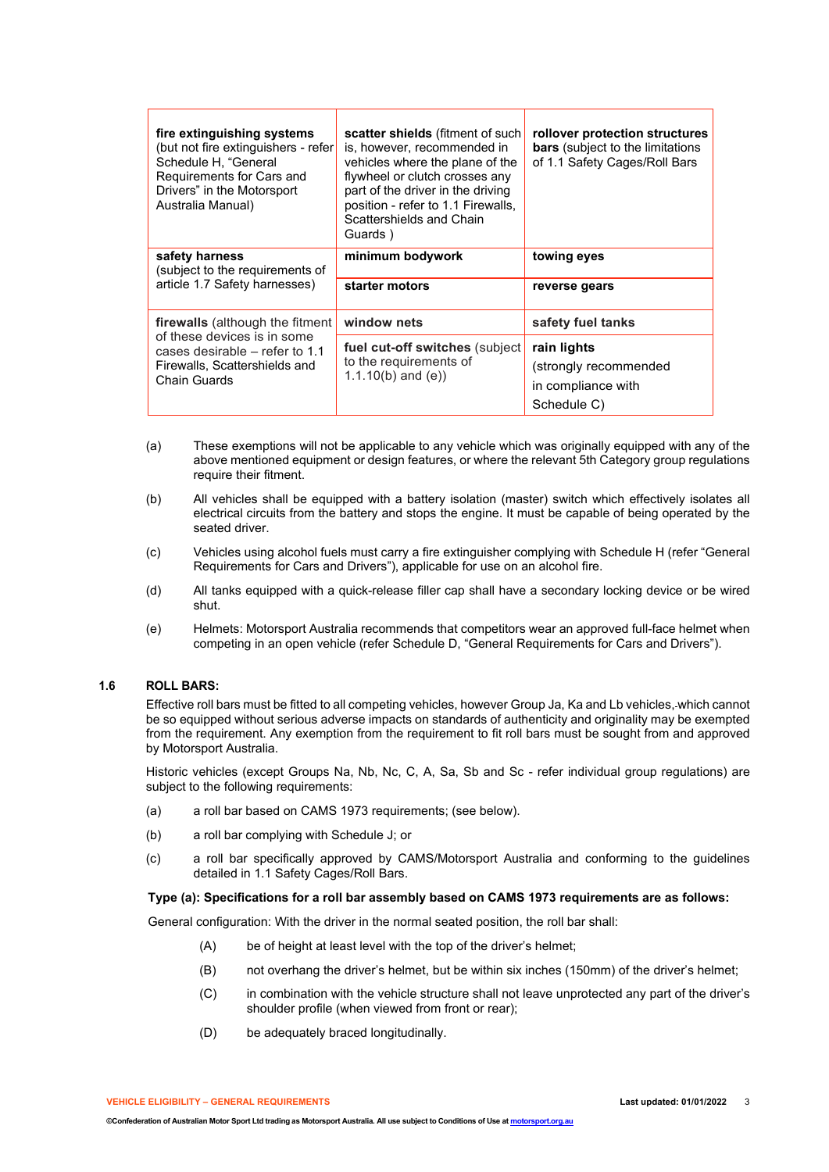| fire extinguishing systems<br>(but not fire extinguishers - refer<br>Schedule H, "General<br>Requirements for Cars and<br>Drivers" in the Motorsport<br>Australia Manual) | scatter shields (fitment of such<br>is, however, recommended in<br>vehicles where the plane of the<br>flywheel or clutch crosses any<br>part of the driver in the driving<br>position - refer to 1.1 Firewalls,<br>Scattershields and Chain<br>Guards) | rollover protection structures<br><b>bars</b> (subject to the limitations<br>of 1.1 Safety Cages/Roll Bars |  |
|---------------------------------------------------------------------------------------------------------------------------------------------------------------------------|--------------------------------------------------------------------------------------------------------------------------------------------------------------------------------------------------------------------------------------------------------|------------------------------------------------------------------------------------------------------------|--|
| safety harness<br>(subject to the requirements of                                                                                                                         | minimum bodywork                                                                                                                                                                                                                                       | towing eyes                                                                                                |  |
| article 1.7 Safety harnesses)                                                                                                                                             | starter motors                                                                                                                                                                                                                                         | reverse gears                                                                                              |  |
| firewalls (although the fitment                                                                                                                                           | window nets                                                                                                                                                                                                                                            | safety fuel tanks                                                                                          |  |
| of these devices is in some<br>cases desirable – refer to 1.1<br>Firewalls, Scattershields and<br>Chain Guards                                                            | fuel cut-off switches (subject<br>to the requirements of<br>$1.1.10(b)$ and (e))                                                                                                                                                                       | rain lights<br>(strongly recommended<br>in compliance with<br>Schedule C)                                  |  |

- (a) These exemptions will not be applicable to any vehicle which was originally equipped with any of the above mentioned equipment or design features, or where the relevant 5th Category group regulations require their fitment.
- (b) All vehicles shall be equipped with a battery isolation (master) switch which effectively isolates all electrical circuits from the battery and stops the engine. It must be capable of being operated by the seated driver.
- (c) Vehicles using alcohol fuels must carry a fire extinguisher complying with Schedule H (refer "General Requirements for Cars and Drivers"), applicable for use on an alcohol fire.
- (d) All tanks equipped with a quick-release filler cap shall have a secondary locking device or be wired shut.
- (e) Helmets: Motorsport Australia recommends that competitors wear an approved full-face helmet when competing in an open vehicle (refer Schedule D, "General Requirements for Cars and Drivers").

## **1.6 ROLL BARS:**

Effective roll bars must be fitted to all competing vehicles, however Group Ja, Ka and Lb vehicles, which cannot be so equipped without serious adverse impacts on standards of authenticity and originality may be exempted from the requirement. Any exemption from the requirement to fit roll bars must be sought from and approved by Motorsport Australia.

Historic vehicles (except Groups Na, Nb, Nc, C, A, Sa, Sb and Sc - refer individual group regulations) are subject to the following requirements:

- (a) a roll bar based on CAMS 1973 requirements; (see below).
- (b) a roll bar complying with Schedule J; or
- (c) a roll bar specifically approved by CAMS/Motorsport Australia and conforming to the guidelines detailed in 1.1 Safety Cages/Roll Bars.

#### **Type (a): Specifications for a roll bar assembly based on CAMS 1973 requirements are as follows:**

General configuration: With the driver in the normal seated position, the roll bar shall:

- (A) be of height at least level with the top of the driver's helmet;
- (B) not overhang the driver's helmet, but be within six inches (150mm) of the driver's helmet;
- (C) in combination with the vehicle structure shall not leave unprotected any part of the driver's shoulder profile (when viewed from front or rear);
- (D) be adequately braced longitudinally.

**VEHICLE ELIGIBILITY – GENERAL REQUIREMENTS Last updated: 01/01/2022** 3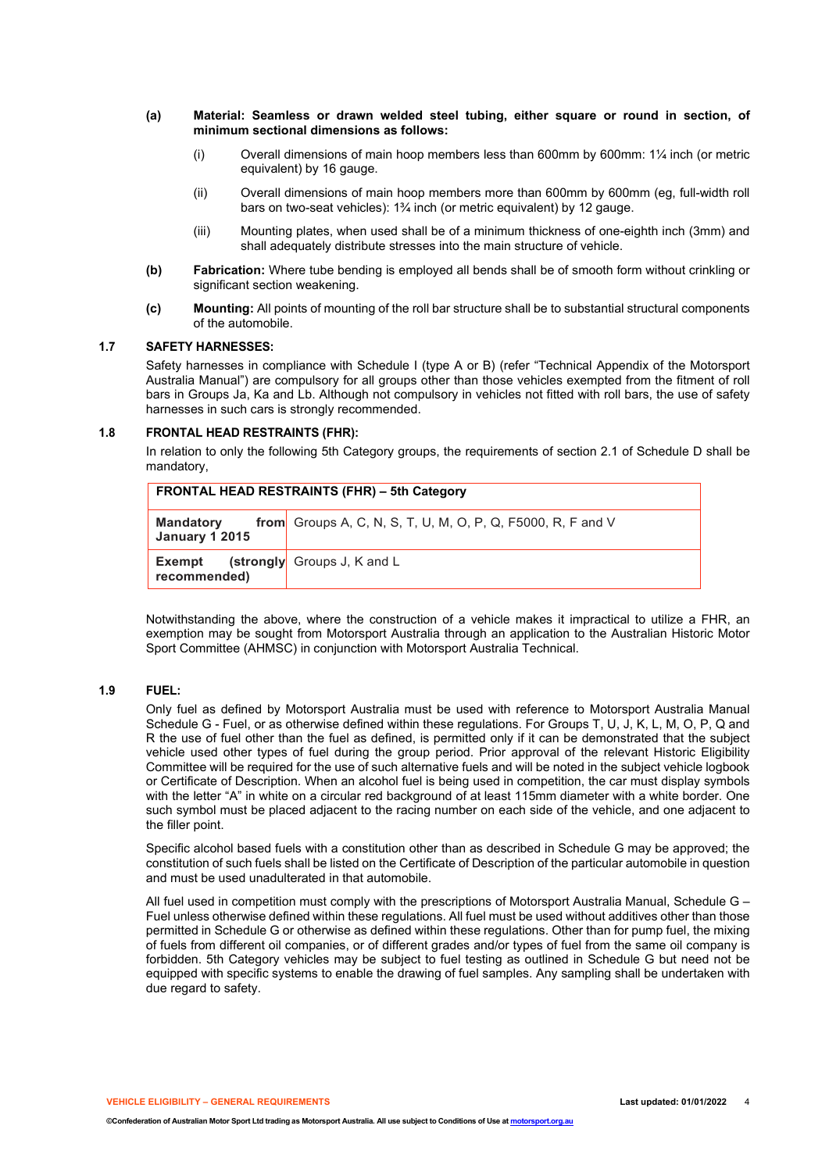- **(a) Material: Seamless or drawn welded steel tubing, either square or round in section, of minimum sectional dimensions as follows:**
	- (i) Overall dimensions of main hoop members less than 600mm by 600mm: 1¼ inch (or metric equivalent) by 16 gauge.
	- (ii) Overall dimensions of main hoop members more than 600mm by 600mm (eg, full-width roll bars on two-seat vehicles): 1¾ inch (or metric equivalent) by 12 gauge.
	- (iii) Mounting plates, when used shall be of a minimum thickness of one-eighth inch (3mm) and shall adequately distribute stresses into the main structure of vehicle.
- **(b) Fabrication:** Where tube bending is employed all bends shall be of smooth form without crinkling or significant section weakening.
- **(c) Mounting:** All points of mounting of the roll bar structure shall be to substantial structural components of the automobile.

#### **1.7 SAFETY HARNESSES:**

Safety harnesses in compliance with Schedule I (type A or B) (refer "Technical Appendix of the Motorsport Australia Manual") are compulsory for all groups other than those vehicles exempted from the fitment of roll bars in Groups Ja, Ka and Lb. Although not compulsory in vehicles not fitted with roll bars, the use of safety harnesses in such cars is strongly recommended.

#### **1.8 FRONTAL HEAD RESTRAINTS (FHR):**

In relation to only the following 5th Category groups, the requirements of section 2.1 of Schedule D shall be mandatory,

| FRONTAL HEAD RESTRAINTS (FHR) – 5th Category |                                                                    |  |  |
|----------------------------------------------|--------------------------------------------------------------------|--|--|
| <b>Mandatory</b><br><b>January 1 2015</b>    | <b>from</b> Groups A, C, N, S, T, U, M, O, P, Q, F5000, R, F and V |  |  |
| Exempt<br>recommended)                       | (strongly Groups J, K and L                                        |  |  |

Notwithstanding the above, where the construction of a vehicle makes it impractical to utilize a FHR, an exemption may be sought from Motorsport Australia through an application to the Australian Historic Motor Sport Committee (AHMSC) in conjunction with Motorsport Australia Technical.

#### **1.9 FUEL:**

Only fuel as defined by Motorsport Australia must be used with reference to Motorsport Australia Manual Schedule G - Fuel, or as otherwise defined within these regulations. For Groups T, U, J, K, L, M, O, P, Q and R the use of fuel other than the fuel as defined, is permitted only if it can be demonstrated that the subject vehicle used other types of fuel during the group period. Prior approval of the relevant Historic Eligibility Committee will be required for the use of such alternative fuels and will be noted in the subject vehicle logbook or Certificate of Description. When an alcohol fuel is being used in competition, the car must display symbols with the letter "A" in white on a circular red background of at least 115mm diameter with a white border. One such symbol must be placed adjacent to the racing number on each side of the vehicle, and one adjacent to the filler point.

Specific alcohol based fuels with a constitution other than as described in Schedule G may be approved; the constitution of such fuels shall be listed on the Certificate of Description of the particular automobile in question and must be used unadulterated in that automobile.

All fuel used in competition must comply with the prescriptions of Motorsport Australia Manual, Schedule G – Fuel unless otherwise defined within these regulations. All fuel must be used without additives other than those permitted in Schedule G or otherwise as defined within these regulations. Other than for pump fuel, the mixing of fuels from different oil companies, or of different grades and/or types of fuel from the same oil company is forbidden. 5th Category vehicles may be subject to fuel testing as outlined in Schedule G but need not be equipped with specific systems to enable the drawing of fuel samples. Any sampling shall be undertaken with due regard to safety.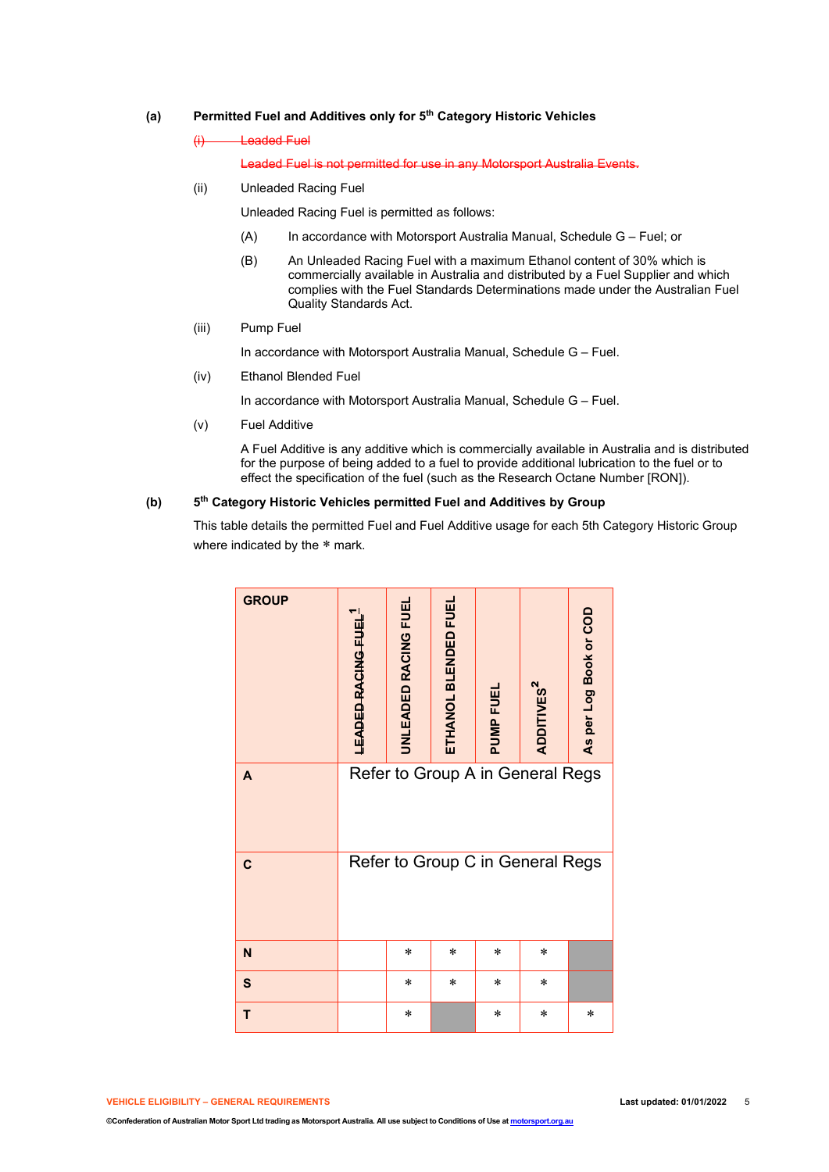# **(a) Permitted Fuel and Additives only for 5th Category Historic Vehicles**

(i) Leaded Fuel

Leaded Fuel is not permitted for use in any Motorsport Australia Events.

(ii) Unleaded Racing Fuel

Unleaded Racing Fuel is permitted as follows:

- (A) In accordance with Motorsport Australia Manual, Schedule G Fuel; or
- (B) An Unleaded Racing Fuel with a maximum Ethanol content of 30% which is commercially available in Australia and distributed by a Fuel Supplier and which complies with the Fuel Standards Determinations made under the Australian Fuel Quality Standards Act.
- (iii) Pump Fuel

In accordance with Motorsport Australia Manual, Schedule G – Fuel.

(iv) Ethanol Blended Fuel

In accordance with Motorsport Australia Manual, Schedule G – Fuel.

(v) Fuel Additive

A Fuel Additive is any additive which is commercially available in Australia and is distributed for the purpose of being added to a fuel to provide additional lubrication to the fuel or to effect the specification of the fuel (such as the Research Octane Number [RON]).

### **(b) 5th Category Historic Vehicles permitted Fuel and Additives by Group**

This table details the permitted Fuel and Fuel Additive usage for each 5th Category Historic Group where indicated by the \* mark.

| <b>GROUP</b> | LEADED RACING FUEL               | <b>UNLEADED RACING FUEL</b> | ETHANOL BLENDED FUEL | PUMP FUEI | ADDITIVES <sup>2</sup> | As per Log Book or COD |
|--------------|----------------------------------|-----------------------------|----------------------|-----------|------------------------|------------------------|
| A            | Refer to Group A in General Regs |                             |                      |           |                        |                        |
| $\mathbf c$  | Refer to Group C in General Regs |                             |                      |           |                        |                        |
| $\mathbf N$  |                                  | $\ast$                      | $\ast$               | $\ast$    | $\ast$                 |                        |
| $\mathbf{s}$ |                                  | $\ast$                      | $\ast$               | $\ast$    | *                      |                        |
| T            |                                  | $\ast$                      |                      | $\ast$    | $\ast$                 | $\ast$                 |

**VEHICLE ELIGIBILITY – GENERAL REQUIREMENTS Last updated: 01/01/2022** 5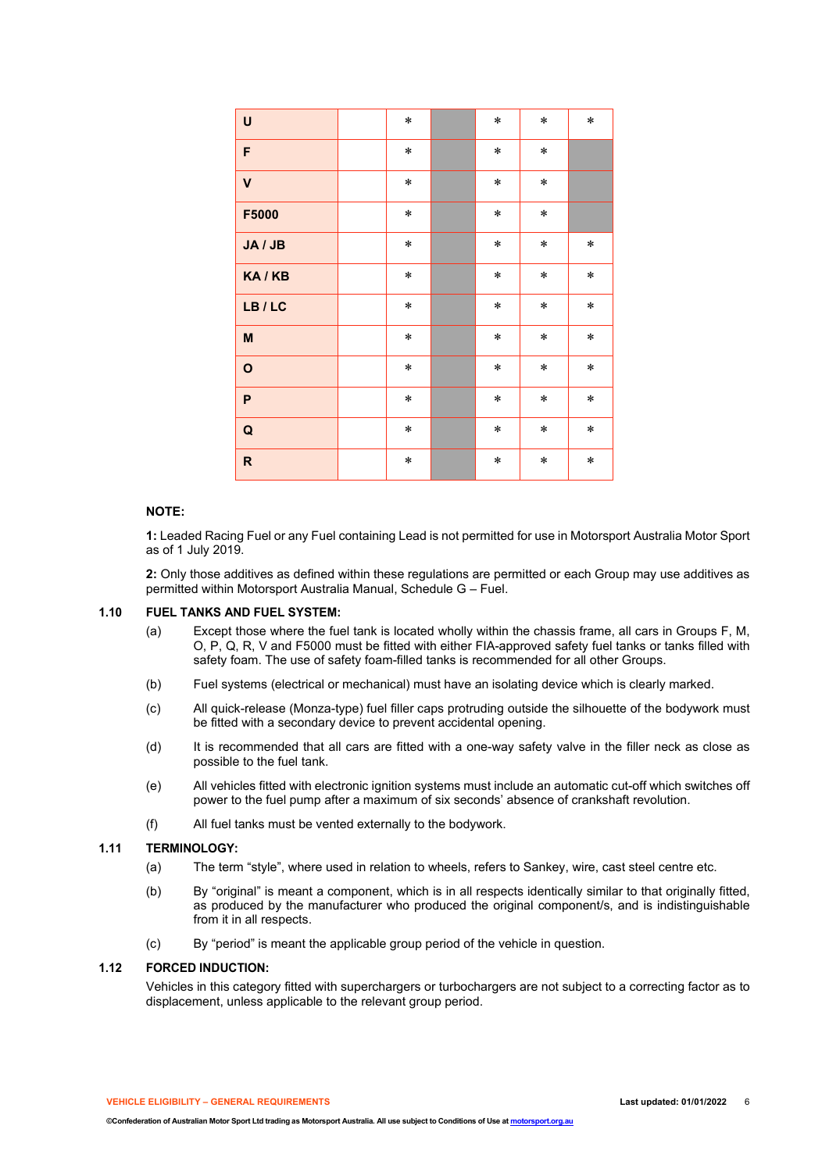| U                       | $\ast$ | $\ast$ | $\ast$ | $\ast$ |
|-------------------------|--------|--------|--------|--------|
| F                       | $\ast$ | $\ast$ | $\ast$ |        |
| $\overline{\mathsf{V}}$ | $\ast$ | $\ast$ | $\ast$ |        |
| F5000                   | $\ast$ | $\ast$ | $\ast$ |        |
| JA / JB                 | $\ast$ | $\ast$ | $\ast$ | $\ast$ |
| KA/KB                   | $\ast$ | $\ast$ | $\ast$ | $\ast$ |
| LB/LC                   | $\ast$ | $\ast$ | $\ast$ | $\ast$ |
| M                       | $\ast$ | $\ast$ | $\ast$ | $\ast$ |
| $\mathbf{o}$            | $\ast$ | $\ast$ | $\ast$ | $\ast$ |
| P                       | $\ast$ | $\ast$ | $\ast$ | $\ast$ |
| Q                       | $\ast$ | $\ast$ | $\ast$ | $\ast$ |
| $\mathsf{R}$            | $\ast$ | $\ast$ | $\ast$ | $\ast$ |

### **NOTE:**

**1:** Leaded Racing Fuel or any Fuel containing Lead is not permitted for use in Motorsport Australia Motor Sport as of 1 July 2019.

**2:** Only those additives as defined within these regulations are permitted or each Group may use additives as permitted within Motorsport Australia Manual, Schedule G – Fuel.

#### **1.10 FUEL TANKS AND FUEL SYSTEM:**

- (a) Except those where the fuel tank is located wholly within the chassis frame, all cars in Groups F, M, O, P, Q, R, V and F5000 must be fitted with either FIA-approved safety fuel tanks or tanks filled with safety foam. The use of safety foam-filled tanks is recommended for all other Groups.
- (b) Fuel systems (electrical or mechanical) must have an isolating device which is clearly marked.
- (c) All quick-release (Monza-type) fuel filler caps protruding outside the silhouette of the bodywork must be fitted with a secondary device to prevent accidental opening.
- (d) It is recommended that all cars are fitted with a one-way safety valve in the filler neck as close as possible to the fuel tank.
- (e) All vehicles fitted with electronic ignition systems must include an automatic cut-off which switches off power to the fuel pump after a maximum of six seconds' absence of crankshaft revolution.
- (f) All fuel tanks must be vented externally to the bodywork.

### **1.11 TERMINOLOGY:**

- (a) The term "style", where used in relation to wheels, refers to Sankey, wire, cast steel centre etc.
- (b) By "original" is meant a component, which is in all respects identically similar to that originally fitted, as produced by the manufacturer who produced the original component/s, and is indistinguishable from it in all respects.
- (c) By "period" is meant the applicable group period of the vehicle in question.

#### **1.12 FORCED INDUCTION:**

Vehicles in this category fitted with superchargers or turbochargers are not subject to a correcting factor as to displacement, unless applicable to the relevant group period.